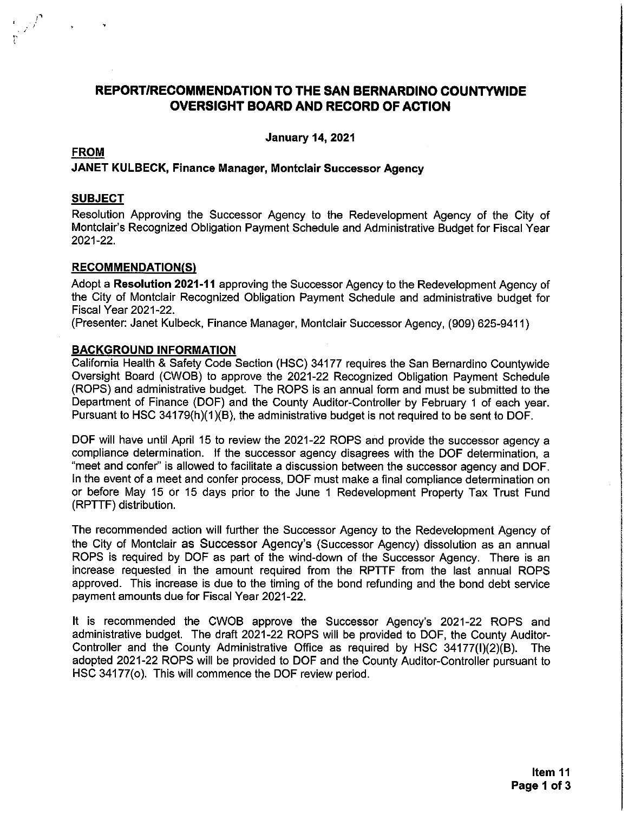## REPORT/RECOMMENDATION TO THE SAN BERNARDINO COUNTYWIDE **OVERSIGHT BOARD AND RECORD OF ACTION**

**January 14, 2021** 

## **FROM**

 $\ddot{\phantom{1}}$ 

#### JANET KULBECK, Finance Manager, Montclair Successor Agency

#### **SUBJECT**

Resolution Approving the Successor Agency to the Redevelopment Agency of the City of Montclair's Recognized Obligation Payment Schedule and Administrative Budget for Fiscal Year 2021-22

### **RECOMMENDATION(S)**

Adopt a Resolution 2021-11 approving the Successor Agency to the Redevelopment Agency of the City of Montclair Recognized Obligation Payment Schedule and administrative budget for **Fiscal Year 2021-22.** 

(Presenter: Janet Kulbeck, Finance Manager, Montclair Successor Agency, (909) 625-9411)

#### **BACKGROUND INFORMATION**

California Health & Safety Code Section (HSC) 34177 requires the San Bernardino Countywide Oversight Board (CWOB) to approve the 2021-22 Recognized Obligation Payment Schedule (ROPS) and administrative budget. The ROPS is an annual form and must be submitted to the Department of Finance (DOF) and the County Auditor-Controller by February 1 of each year. Pursuant to HSC 34179(h)(1)(B), the administrative budget is not required to be sent to DOF.

DOF will have until April 15 to review the 2021-22 ROPS and provide the successor agency a compliance determination. If the successor agency disagrees with the DOF determination, a "meet and confer" is allowed to facilitate a discussion between the successor agency and DOF. In the event of a meet and confer process, DOF must make a final compliance determination on or before May 15 or 15 days prior to the June 1 Redevelopment Property Tax Trust Fund (RPTTF) distribution.

The recommended action will further the Successor Agency to the Redevelopment Agency of the City of Montclair as Successor Agency's (Successor Agency) dissolution as an annual ROPS is required by DOF as part of the wind-down of the Successor Agency. There is an increase requested in the amount required from the RPTTF from the last annual ROPS approved. This increase is due to the timing of the bond refunding and the bond debt service payment amounts due for Fiscal Year 2021-22.

It is recommended the CWOB approve the Successor Agency's 2021-22 ROPS and administrative budget. The draft 2021-22 ROPS will be provided to DOF, the County Auditor-Controller and the County Administrative Office as required by HSC 34177(I)(2)(B). The adopted 2021-22 ROPS will be provided to DOF and the County Auditor-Controller pursuant to HSC 34177(o). This will commence the DOF review period.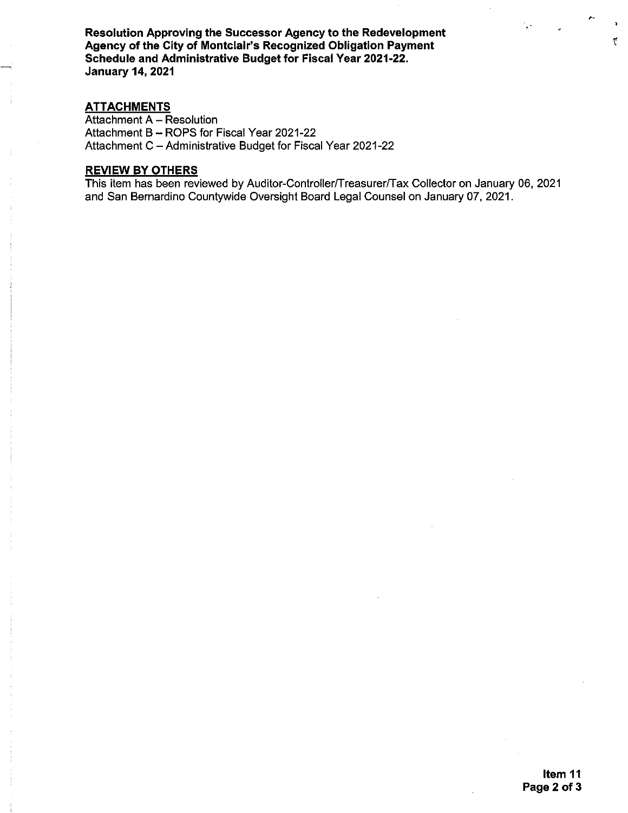Resolution Approving the Successor Agency to the Redevelopment Agency of the City of Montclair's Recognized Obligation Payment Schedule and Administrative Budget for Fiscal Year 2021-22. **January 14, 2021** 

### **ATTACHMENTS**

Attachment A - Resolution Attachment B - ROPS for Fiscal Year 2021-22 Attachment C - Administrative Budget for Fiscal Year 2021-22

## **REVIEW BY OTHERS**

This item has been reviewed by Auditor-Controller/Treasurer/Tax Collector on January 06, 2021 and San Bernardino Countywide Oversight Board Legal Counsel on January 07, 2021.

Ϋ.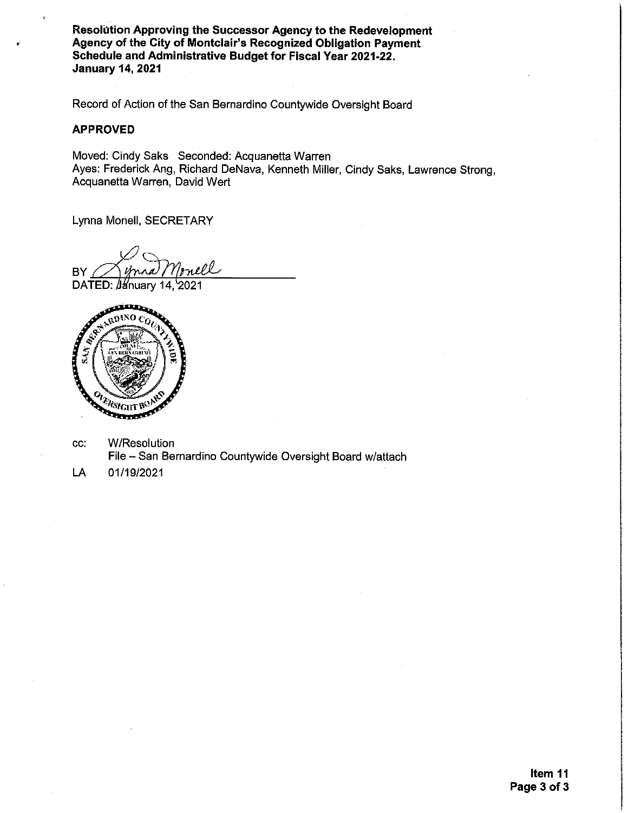Resolution Approving the Successor Agency to the Redevelopment Agency of the City of Montclair's Recognized Obligation Payment Schedule and Administrative Budget for Fiscal Year 2021-22. **January 14, 2021** 

Record of Action of the San Bernardino Countywide Oversight Board

#### **APPROVED**

Moved: Cindy Saks Seconded: Acquanetta Warren Ayes: Frederick Ang, Richard DeNava, Kenneth Miller, Cindy Saks, Lawrence Strong, Acquanetta Warren, David Wert

Lynna Monell, SECRETARY

nell BY

DATED: Usinuary 14, 2021



- **W/Resolution** CC. File - San Bernardino Countywide Oversight Board w/attach
- LA 01/19/2021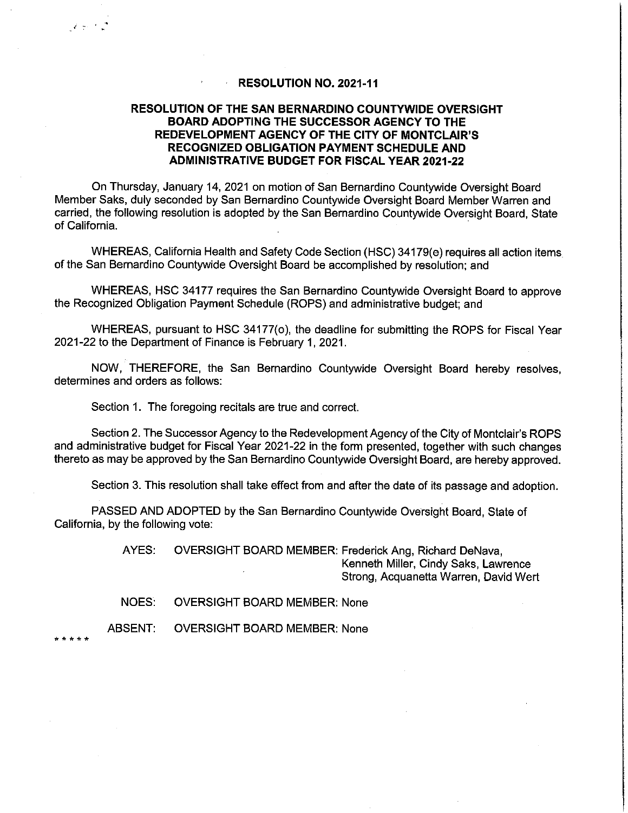#### RESOLUTION NO. 2021-11

## **RESOLUTION OF THE SAN BERNARDINO COUNTYWIDE OVERSIGHT BOARD ADOPTING THE SUCCESSOR AGENCY TO THE** REDEVELOPMENT AGENCY OF THE CITY OF MONTCLAIR'S RECOGNIZED OBLIGATION PAYMENT SCHEDULE AND **ADMINISTRATIVE BUDGET FOR FISCAL YEAR 2021-22**

On Thursday, January 14, 2021 on motion of San Bernardino Countywide Oversight Board Member Saks, duly seconded by San Bernardino Countywide Oversight Board Member Warren and carried, the following resolution is adopted by the San Bernardino Countywide Oversight Board, State of California.

WHEREAS, California Health and Safety Code Section (HSC) 34179(e) requires all action items of the San Bernardino Countywide Oversight Board be accomplished by resolution; and

WHEREAS, HSC 34177 requires the San Bernardino Countywide Oversight Board to approve the Recognized Obligation Payment Schedule (ROPS) and administrative budget; and

WHEREAS, pursuant to HSC 34177(o), the deadline for submitting the ROPS for Fiscal Year 2021-22 to the Department of Finance is February 1, 2021.

NOW, THEREFORE, the San Bernardino Countywide Oversight Board hereby resolves, determines and orders as follows:

Section 1. The foregoing recitals are true and correct.

م<br>المراجع المح

 $***$ 

Section 2. The Successor Agency to the Redevelopment Agency of the City of Montclair's ROPS and administrative budget for Fiscal Year 2021-22 in the form presented, together with such changes thereto as may be approved by the San Bernardino Countywide Oversight Board, are hereby approved.

Section 3. This resolution shall take effect from and after the date of its passage and adoption.

PASSED AND ADOPTED by the San Bernardino Countywide Oversight Board, State of California, by the following vote:

> AYES: OVERSIGHT BOARD MEMBER: Frederick Ang, Richard DeNava, Kenneth Miller, Cindy Saks, Lawrence Strong, Acquanetta Warren, David Wert

NOES: **OVERSIGHT BOARD MEMBER: None** 

**ABSENT: OVERSIGHT BOARD MEMBER: None**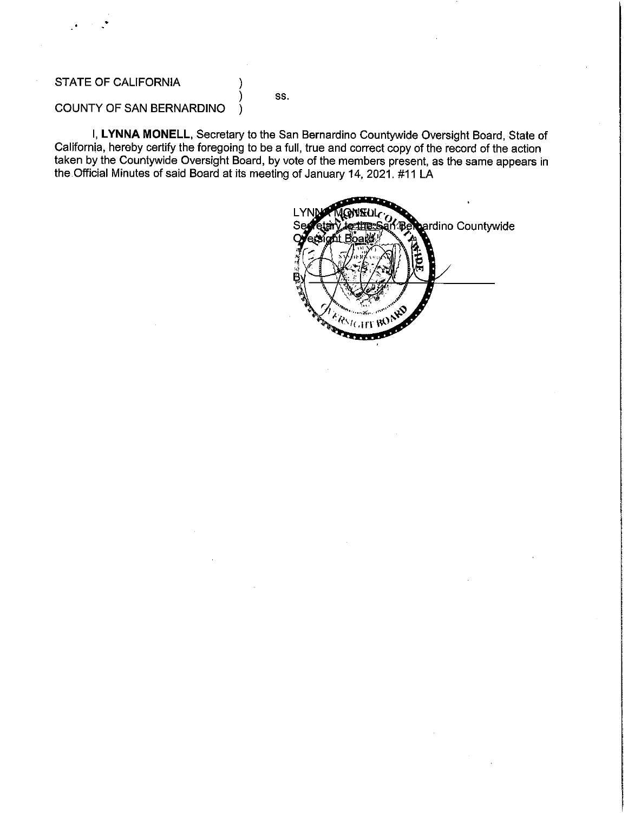## **STATE OF CALIFORNIA**

SS.

## COUNTY OF SAN BERNARDINO

I, LYNNA MONELL, Secretary to the San Bernardino Countywide Oversight Board, State of California, hereby certify the foregoing to be a full, true and correct copy of the record of the action taken by the Countywide Oversight Board, by vote of the members present, as the same appears in the Official Minutes of said Board at its meeting of January 14, 2021. #11 LA

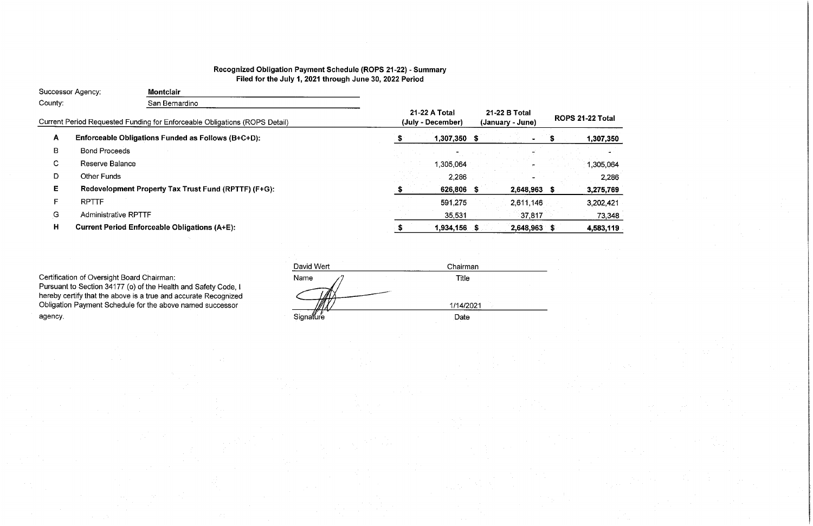# Recognized Obligation Payment Schedule (ROPS 21-22) - Summary Filed for the July 1, 2021 through June 30, 2022 Period

|              | Successor Agency:           | <b>Montclair</b>                                                           |   |                                    |                                   |   |                  |
|--------------|-----------------------------|----------------------------------------------------------------------------|---|------------------------------------|-----------------------------------|---|------------------|
| County:      |                             | San Bernardino                                                             |   |                                    |                                   |   |                  |
|              |                             | Current Period Requested Funding for Enforceable Obligations (ROPS Detail) |   | 21-22 A Total<br>(July - December) | 21-22 B Total<br>(January - June) |   | ROPS 21-22 Total |
| $\mathsf{A}$ |                             | Enforceable Obligations Funded as Follows (B+C+D):                         | 5 | $1,307,350$ \$                     |                                   |   | 1,307,350        |
| B            | <b>Bond Proceeds</b>        |                                                                            |   |                                    |                                   |   |                  |
| C.           | Reserve Balance             |                                                                            |   | 1,305,064                          |                                   |   | 1,305,064        |
| D            | <b>Other Funds</b>          |                                                                            |   | 2,286                              |                                   |   | 2,286            |
| Е            |                             | Redevelopment Property Tax Trust Fund (RPTTF) (F+G):                       |   | 626,806                            | 2,648,963                         | ж | 3,275,769        |
| Е            | <b>RPTTF</b>                |                                                                            |   | 591,275                            | 2,611,146                         |   | 3,202,421        |
| G            | <b>Administrative RPTTF</b> |                                                                            |   | 35,531                             | 37.817                            |   | 73,348           |
| H            |                             | <b>Current Period Enforceable Obligations (A+E):</b>                       |   | 1,934,156 \$                       | 2,648,963 \$                      |   | 4,583,119        |

Certification of Oversight Board Chairman:<br>Pursuant to Section 34177 (o) of the Health and Safety Code, I<br>hereby certify that the above is a true and accurate Recognized<br>Obligation Payment Schedule for the above named succ agency.

| David Wert | Chairman  |  |
|------------|-----------|--|
| Name       | Title     |  |
|            |           |  |
|            | 1/14/2021 |  |
| Signature  | Date      |  |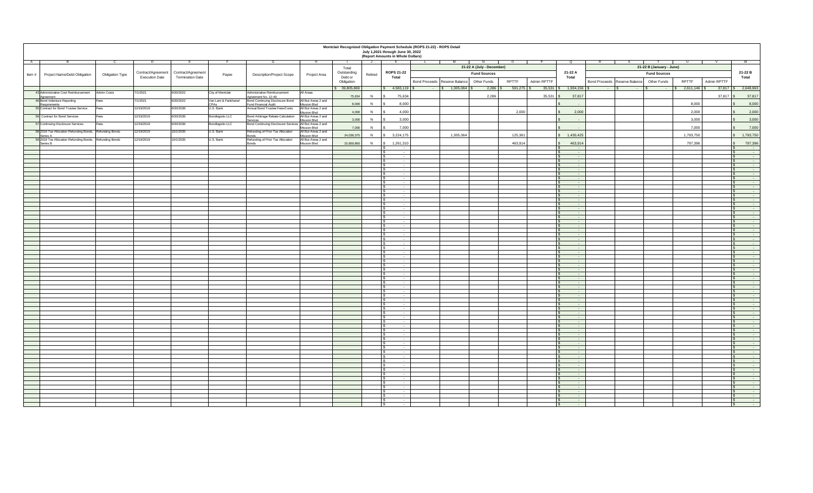|                                             |                                                         |                        |                                             |                                               |                                     |                                                                     |                                            |                        |                | July 1,2021 through June 30, 2022<br>(Report Amounts in Whole Dollars) | Montclair Recognized Obligation Payment Schedule (ROPS 21-22) - ROPS Detail |                           |              |                    |                                                                  |                                      |                          |                             |                                                  |
|---------------------------------------------|---------------------------------------------------------|------------------------|---------------------------------------------|-----------------------------------------------|-------------------------------------|---------------------------------------------------------------------|--------------------------------------------|------------------------|----------------|------------------------------------------------------------------------|-----------------------------------------------------------------------------|---------------------------|--------------|--------------------|------------------------------------------------------------------|--------------------------------------|--------------------------|-----------------------------|--------------------------------------------------|
| <b>A</b>                                    |                                                         |                        |                                             |                                               |                                     |                                                                     |                                            |                        |                |                                                                        |                                                                             |                           |              |                    |                                                                  |                                      |                          |                             |                                                  |
|                                             |                                                         |                        |                                             |                                               |                                     |                                                                     |                                            | Total                  |                |                                                                        |                                                                             | 21-22 A (July - December) |              |                    |                                                                  |                                      | 21-22 B (January - June) |                             |                                                  |
| Item $#$                                    | <b>Project Name/Debt Obligation</b>                     | <b>Obligation Type</b> | Contract/Agreement<br><b>Execution Date</b> | Contract/Agreement<br><b>Termination Date</b> | Payee                               | <b>Description/Project Scope</b>                                    | Project Area                               | Outstanding<br>Debt or | Retired        | <b>ROPS 21-22</b><br><b>Total</b>                                      |                                                                             | <b>Fund Sources</b>       |              |                    | 21-22 A<br><b>Total</b>                                          |                                      | <b>Fund Sources</b>      |                             | 21-22 B<br><b>Total</b>                          |
|                                             |                                                         |                        |                                             |                                               |                                     |                                                                     |                                            | Obligation             |                |                                                                        | Bond Proceeds   Reserve Balance                                             | <b>Other Funds</b>        | <b>RPTTF</b> | <b>Admin RPTTF</b> |                                                                  | Bond Proceeds   Reserve Balance      | <b>Other Funds</b>       | <b>RPTTF</b><br>Admin RPTTF |                                                  |
|                                             | 43 Administrative Cost Reimbursement                    | Admin Costs            | 7/1/2021                                    | 6/30/2022                                     | City of Montclair                   | Admnistrative Reimbursement                                         | All Areas                                  | \$39,805,869           |                | $4,583,119$ \$                                                         | $\frac{1}{5}$ 1,305,064 \ \ \$<br>$\sim 100$ m $^{-1}$                      |                           | 591,275      |                    | 1,934,156                                                        | $\sim$ $  -$<br><b>Service</b> State | <b>Contract Contract</b> | 2,611,146<br>$37,817$ \ \$  | 2,648,963                                        |
| Agreement                                   |                                                         |                        |                                             |                                               |                                     | Agreement No. 12-49                                                 |                                            | 75,634                 |                | 75,634                                                                 |                                                                             | 2,286                     |              | $35,531$ \$        | 37,817                                                           |                                      |                          | $37,817$ \$                 | 37,817                                           |
| 46 Bond Indenture Reporting<br>Requirements |                                                         | Fees                   | 7/1/2021                                    | 6/30/2022                                     | Van Lant & Fankhanel<br><b>CPAs</b> | <b>Bond Continuing Disclosure Bond</b><br>Fund Financial Audit      | All But Areas 2 and<br><b>Mission Blvd</b> | 8,000                  | $\overline{N}$ | 8,000                                                                  |                                                                             |                           |              |                    | $\sim$ $ \sim$                                                   |                                      |                          | 8,000                       | 8,000                                            |
| 55 Contract for Bond Trustee Service        |                                                         | Fees                   | 12/19/2019                                  | 6/30/2036                                     | U.S. Bank                           | Annual Bond Trustee Fees/Costs                                      | All But Areas 2 and                        |                        |                |                                                                        |                                                                             |                           |              |                    |                                                                  |                                      |                          |                             |                                                  |
| 56 Contract for Bond Services               |                                                         | Fees                   | 12/19/2019                                  | 6/30/2036                                     | <b>Bondlogistix LLC</b>             | Bond Arbitrage Rebate Calculation   All But Areas 2 and             | <b>Mission Blvd</b>                        | 4,000                  |                | 4,000                                                                  |                                                                             |                           | 2,000        |                    | 2,000                                                            |                                      |                          | 2,000                       | 2,000                                            |
| 57 Continuing Disclosure Services           |                                                         | Fees                   | 12/19/2019                                  | 6/30/2036                                     | <b>Bondlogistix LLC</b>             | Services<br>Bond Continuing Disclosure Services All But Areas 2 and | <b>Mission Blvd</b>                        | 3,000                  |                | 3,000                                                                  |                                                                             |                           |              |                    | $\sim$ $ \sim$                                                   |                                      |                          | 3,000                       | 3,000                                            |
|                                             |                                                         |                        |                                             |                                               |                                     |                                                                     | Mission Blvd                               | 7,000                  |                | 7,000                                                                  |                                                                             |                           |              |                    | $\sim$ $\sim$                                                    |                                      |                          | 7,000                       | 7,000                                            |
| Series A                                    | 58 2019 Tax Allocation Refunding Bonds, Refunding Bonds |                        | 12/19/2019                                  | 10/1/2035                                     | U.S. Bank                           | Refunding of Prior Tax Allocation<br>Bonds                          | All But Areas 2 and<br>Mission Blvd        | 24,038,375             | N              | 3,224,175                                                              | 1,305,064                                                                   |                           | 125,361      |                    | 1,430,425                                                        |                                      |                          | 1,793,750                   | \$ 1,793,750                                     |
|                                             | 59 2019 Tax Allocation Refunding Bonds, Refunding Bonds |                        | 12/19/2019                                  | 10/1/2035                                     | U.S. Bank                           | Refunding of Prior Tax Allocation                                   | All But Areas 2 and                        | 15,669,860             |                | 1,261,310                                                              |                                                                             |                           | 463,914      |                    | 463,914                                                          |                                      |                          | 797,396                     | 797,396                                          |
| Series B                                    |                                                         |                        |                                             |                                               |                                     | Bonds                                                               | Mission Blvd                               |                        |                | $\sim$                                                                 |                                                                             |                           |              |                    | $\sim 100$ m $^{-1}$                                             |                                      |                          |                             | $\sim$ 100 $\pm$                                 |
|                                             |                                                         |                        |                                             |                                               |                                     |                                                                     |                                            |                        |                | $\sim 100$ m $^{-1}$                                                   |                                                                             |                           |              |                    | $\sim 100$                                                       |                                      |                          |                             | <b>State State</b>                               |
|                                             |                                                         |                        |                                             |                                               |                                     |                                                                     |                                            |                        |                | $\sim$ $-$<br><b>Contract</b>                                          |                                                                             |                           |              |                    | $\sim 100$<br>$\sim$ 100 $\sim$                                  |                                      |                          |                             | $\sim 100$ m $^{-1}$<br><b>Contract Contract</b> |
|                                             |                                                         |                        |                                             |                                               |                                     |                                                                     |                                            |                        |                | $\sim$                                                                 |                                                                             |                           |              |                    | $\sim$ $-$                                                       |                                      |                          |                             |                                                  |
|                                             |                                                         |                        |                                             |                                               |                                     |                                                                     |                                            |                        |                | <b>Contract</b><br>$\sim$ $\sim$                                       |                                                                             |                           |              |                    | $\sim$ 100 $\sim$<br>$\sim 100$                                  |                                      |                          |                             | <b>State State</b><br><b>Contract Contract</b>   |
|                                             |                                                         |                        |                                             |                                               |                                     |                                                                     |                                            |                        |                | $\sim$ $-$                                                             |                                                                             |                           |              |                    | $\sim$ 100 $\sim$                                                |                                      |                          |                             | <b>Service State</b>                             |
|                                             |                                                         |                        |                                             |                                               |                                     |                                                                     |                                            |                        |                |                                                                        |                                                                             |                           |              |                    | $\sim 100$                                                       |                                      |                          |                             | $\sim$ 100 $\pm$                                 |
|                                             |                                                         |                        |                                             |                                               |                                     |                                                                     |                                            |                        |                |                                                                        |                                                                             |                           |              |                    | $\sim$ 100 $\sim$                                                |                                      |                          |                             |                                                  |
|                                             |                                                         |                        |                                             |                                               |                                     |                                                                     |                                            |                        |                | $\sim$ $-$<br>$\sim$ $-$                                               |                                                                             |                           |              |                    | <b>State State</b><br>$\sim 100$ m $^{-1}$                       |                                      |                          |                             |                                                  |
|                                             |                                                         |                        |                                             |                                               |                                     |                                                                     |                                            |                        |                | $\sim$ $-$                                                             |                                                                             |                           |              |                    | $\sim 100$ km s $^{-1}$                                          |                                      |                          |                             |                                                  |
|                                             |                                                         |                        |                                             |                                               |                                     |                                                                     |                                            |                        |                | $\sim$ $-$                                                             |                                                                             |                           |              |                    | $\sim 100$ m $^{-1}$<br>$\sim$ 100 $\pm$ 100 $\pm$               |                                      |                          |                             |                                                  |
|                                             |                                                         |                        |                                             |                                               |                                     |                                                                     |                                            |                        |                | $\sim$ 100 $-$ 100 $-$<br><b>Service</b>                               |                                                                             |                           |              |                    | <b>State State</b>                                               |                                      |                          |                             |                                                  |
|                                             |                                                         |                        |                                             |                                               |                                     |                                                                     |                                            |                        |                | <b>Contract Contract</b>                                               |                                                                             |                           |              |                    | <b>Service Contract Contract</b>                                 |                                      |                          |                             |                                                  |
|                                             |                                                         |                        |                                             |                                               |                                     |                                                                     |                                            |                        |                | $\sim$ $-$<br><b>Contract Contract</b>                                 |                                                                             |                           |              |                    | <b>Contract Contract</b><br><b>Service State</b>                 |                                      |                          |                             |                                                  |
|                                             |                                                         |                        |                                             |                                               |                                     |                                                                     |                                            |                        |                | $\sim$ $\sim$                                                          |                                                                             |                           |              |                    | $\sim 100$ m $^{-1}$                                             |                                      |                          |                             |                                                  |
|                                             |                                                         |                        |                                             |                                               |                                     |                                                                     |                                            |                        |                | <b>Contract Contract</b><br>$\sim$ $-$                                 |                                                                             |                           |              |                    | <b>Contract Contract</b><br>$\sim 100$ m $^{-1}$                 |                                      |                          |                             |                                                  |
|                                             |                                                         |                        |                                             |                                               |                                     |                                                                     |                                            |                        |                | $\sim$ $-$                                                             |                                                                             |                           |              |                    | <b>State State</b>                                               |                                      |                          |                             |                                                  |
|                                             |                                                         |                        |                                             |                                               |                                     |                                                                     |                                            |                        |                | $\sim$ $\sim$<br>$\sim$ $-$                                            |                                                                             |                           |              |                    | $\sim 100$ m $^{-1}$<br>$\sim 100$ km s $^{-1}$                  |                                      |                          |                             |                                                  |
|                                             |                                                         |                        |                                             |                                               |                                     |                                                                     |                                            |                        |                | $\sim$ $-$                                                             |                                                                             |                           |              |                    | $\sim 100$ m $^{-1}$                                             |                                      |                          |                             |                                                  |
|                                             |                                                         |                        |                                             |                                               |                                     |                                                                     |                                            |                        |                | $\sim 100$ km s $^{-1}$<br>$\sim$ $\sim$ $\sim$                        |                                                                             |                           |              |                    | $\sim 100$ m $^{-1}$<br>$\sim 100$ m $^{-1}$                     |                                      |                          |                             |                                                  |
|                                             |                                                         |                        |                                             |                                               |                                     |                                                                     |                                            |                        |                | <b>Contract Contract</b>                                               |                                                                             |                           |              |                    | <b>State State</b>                                               |                                      |                          |                             |                                                  |
|                                             |                                                         |                        |                                             |                                               |                                     |                                                                     |                                            |                        |                | <b>Service</b><br><b>Contract Contract</b>                             |                                                                             |                           |              |                    | <b>State State</b><br><b>Contract Contract</b>                   |                                      |                          |                             |                                                  |
|                                             |                                                         |                        |                                             |                                               |                                     |                                                                     |                                            |                        |                | $\sim$ $\sim$                                                          |                                                                             |                           |              |                    | <b>Service</b> State                                             |                                      |                          |                             |                                                  |
|                                             |                                                         |                        |                                             |                                               |                                     |                                                                     |                                            |                        |                | <b>Contract Contract</b>                                               |                                                                             |                           |              |                    | <b>Service State</b>                                             |                                      |                          |                             |                                                  |
|                                             |                                                         |                        |                                             |                                               |                                     |                                                                     |                                            |                        |                | $\sim$ $-$<br><b>Contract Contract</b>                                 |                                                                             |                           |              |                    | $\sim 100$ m $^{-1}$<br><b>State State</b>                       |                                      |                          |                             |                                                  |
|                                             |                                                         |                        |                                             |                                               |                                     |                                                                     |                                            |                        |                | $\sim$ $\sim$                                                          |                                                                             |                           |              |                    | $\sim 100$ m $^{-1}$                                             |                                      |                          |                             |                                                  |
|                                             |                                                         |                        |                                             |                                               |                                     |                                                                     |                                            |                        |                | $\sim$ $-$<br>$\sim$ $\sim$                                            |                                                                             |                           |              |                    | <b>Service</b> State<br>$\sim 100$ m $^{-1}$                     |                                      |                          |                             |                                                  |
|                                             |                                                         |                        |                                             |                                               |                                     |                                                                     |                                            |                        |                | <b>Contract Contract</b>                                               |                                                                             |                           |              |                    | $\sim 100$ m $^{-1}$                                             |                                      |                          |                             |                                                  |
|                                             |                                                         |                        |                                             |                                               |                                     |                                                                     |                                            |                        |                | $\sim$ $\sim$<br>$\sim 100$ km s $^{-1}$                               |                                                                             |                           |              |                    | $\sim 100$ m $^{-1}$<br>$\sim 100$ km s $^{-1}$                  |                                      |                          |                             |                                                  |
|                                             |                                                         |                        |                                             |                                               |                                     |                                                                     |                                            |                        |                |                                                                        |                                                                             |                           |              |                    |                                                                  |                                      |                          |                             |                                                  |
|                                             |                                                         |                        |                                             |                                               |                                     |                                                                     |                                            |                        |                | $\sim$ $\sim$                                                          |                                                                             |                           |              |                    | <b>Service</b><br><b>Service</b> State                           |                                      |                          |                             |                                                  |
|                                             |                                                         |                        |                                             |                                               |                                     |                                                                     |                                            |                        |                | <b>Contract Contract</b>                                               |                                                                             |                           |              |                    | <b>Service Contracts</b>                                         |                                      |                          |                             |                                                  |
|                                             |                                                         |                        |                                             |                                               |                                     |                                                                     |                                            |                        |                | $\sim$ $-$<br>$\sim$ $-$                                               |                                                                             |                           |              |                    | $\sim 100$ m $^{-1}$<br>$\sim 100$ km s $^{-1}$                  |                                      |                          |                             | $\sim$ $-$<br>$\sim 100$ m $^{-1}$               |
|                                             |                                                         |                        |                                             |                                               |                                     |                                                                     |                                            |                        |                | $\sim$ $\sim$                                                          |                                                                             |                           |              |                    | <b>State State</b>                                               |                                      |                          |                             |                                                  |
|                                             |                                                         |                        |                                             |                                               |                                     |                                                                     |                                            |                        |                | $\sim$ $-$                                                             |                                                                             |                           |              |                    | $\sim 100$ km s $^{-1}$<br><b>State State</b>                    |                                      |                          |                             | $\sim$ 100 $\pm$<br><b>Contract</b>              |
|                                             |                                                         |                        |                                             |                                               |                                     |                                                                     |                                            |                        |                | $\sim$ $\sim$<br><b>Contract Contract</b>                              |                                                                             |                           |              |                    | <b>Service State</b>                                             |                                      |                          |                             |                                                  |
|                                             |                                                         |                        |                                             |                                               |                                     |                                                                     |                                            |                        |                | <b>Service</b>                                                         |                                                                             |                           |              |                    | <b>Service</b> State                                             |                                      |                          |                             |                                                  |
|                                             |                                                         |                        |                                             |                                               |                                     |                                                                     |                                            |                        |                | <b>Contract Contract</b><br>$\sim$ $\sim$                              |                                                                             |                           |              |                    | <b><i>Committee Committee States</i></b><br>$\sim 100$ m $^{-1}$ |                                      |                          |                             | $\sim 100$ m $^{-1}$                             |
|                                             |                                                         |                        |                                             |                                               |                                     |                                                                     |                                            |                        |                | <b>Contract Contract State</b>                                         |                                                                             |                           |              |                    | <b>Service Contract</b>                                          |                                      |                          |                             |                                                  |
|                                             |                                                         |                        |                                             |                                               |                                     |                                                                     |                                            |                        |                | $\sim$ $\sim$<br>$\sim$ $\sim$                                         |                                                                             |                           |              |                    | <b>Service</b> State<br><b>Contract Contract Contract</b>        |                                      |                          |                             | <b>Service</b>                                   |
|                                             |                                                         |                        |                                             |                                               |                                     |                                                                     |                                            |                        |                | $\sim$ $\sim$                                                          |                                                                             |                           |              |                    | $\sim 100$ m $^{-1}$                                             |                                      |                          |                             | $\sim 100$ m $^{-1}$                             |
|                                             |                                                         |                        |                                             |                                               |                                     |                                                                     |                                            |                        |                | $\sim$                                                                 |                                                                             |                           |              |                    | $\sim 100$ m $^{-1}$                                             |                                      |                          |                             | <b>Contract Contract</b>                         |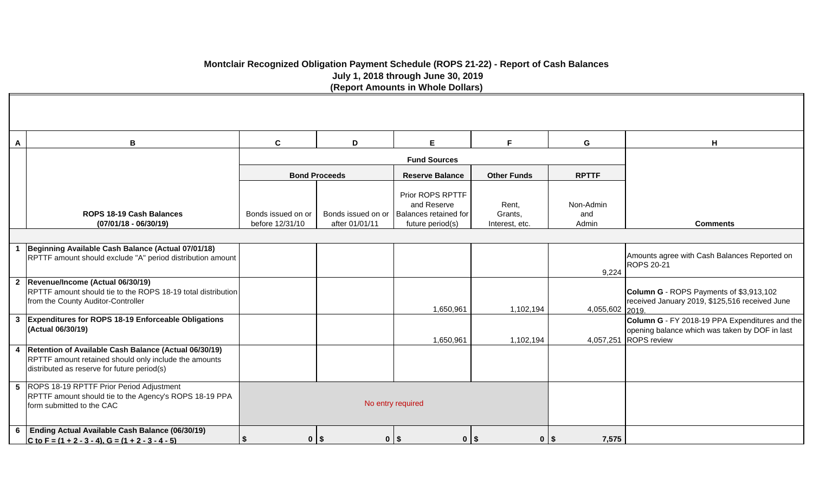## **Montclair Recognized Obligation Payment Schedule (ROPS 21-22) - Report of Cash Balances July 1, 2018 through June 30, 2019 (Report Amounts in Whole Dollars)**

|   | B                                                                                                                                                             | $\mathbf c$                           | D                                    | E                                                                            | F.                                 | G                         | H                                                                                                                         |
|---|---------------------------------------------------------------------------------------------------------------------------------------------------------------|---------------------------------------|--------------------------------------|------------------------------------------------------------------------------|------------------------------------|---------------------------|---------------------------------------------------------------------------------------------------------------------------|
|   |                                                                                                                                                               |                                       |                                      | <b>Fund Sources</b>                                                          |                                    |                           |                                                                                                                           |
|   |                                                                                                                                                               |                                       | <b>Bond Proceeds</b>                 | <b>Reserve Balance</b>                                                       | <b>Other Funds</b>                 | <b>RPTTF</b>              |                                                                                                                           |
|   | ROPS 18-19 Cash Balances<br>$(07/01/18 - 06/30/19)$                                                                                                           | Bonds issued on or<br>before 12/31/10 | Bonds issued on or<br>after 01/01/11 | Prior ROPS RPTTF<br>and Reserve<br>Balances retained for<br>future period(s) | Rent,<br>Grants,<br>Interest, etc. | Non-Admin<br>and<br>Admin | <b>Comments</b>                                                                                                           |
|   |                                                                                                                                                               |                                       |                                      |                                                                              |                                    |                           |                                                                                                                           |
|   | Beginning Available Cash Balance (Actual 07/01/18)<br>RPTTF amount should exclude "A" period distribution amount                                              |                                       |                                      |                                                                              |                                    | 9,224                     | Amounts agree with Cash Balances Reported on<br><b>ROPS 20-21</b>                                                         |
|   | 2  Revenue/Income (Actual 06/30/19)<br>RPTTF amount should tie to the ROPS 18-19 total distribution<br>from the County Auditor-Controller                     |                                       |                                      | 1,650,961                                                                    | 1,102,194                          | 4,055,602 2019            | Column G - ROPS Payments of \$3,913,102<br>received January 2019, \$125,516 received June                                 |
|   | 3 Expenditures for ROPS 18-19 Enforceable Obligations<br>(Actual 06/30/19)                                                                                    |                                       |                                      | 1,650,961                                                                    | 1,102,194                          |                           | Column G - FY 2018-19 PPA Expenditures and the<br>opening balance which was taken by DOF in last<br>4,057,251 ROPS review |
| 4 | Retention of Available Cash Balance (Actual 06/30/19)<br>RPTTF amount retained should only include the amounts<br>distributed as reserve for future period(s) |                                       |                                      |                                                                              |                                    |                           |                                                                                                                           |
|   | 5 ROPS 18-19 RPTTF Prior Period Adjustment<br>RPTTF amount should tie to the Agency's ROPS 18-19 PPA<br>form submitted to the CAC                             |                                       |                                      | No entry required                                                            |                                    |                           |                                                                                                                           |
|   | 6   Ending Actual Available Cash Balance (06/30/19)<br>C to F = $(1 + 2 - 3 - 4)$ , G = $(1 + 2 - 3 - 4 - 5)$                                                 |                                       | $0$   \$                             | $0$   \$<br>$0$   \$                                                         |                                    | 7,575<br>$0$   \$         |                                                                                                                           |